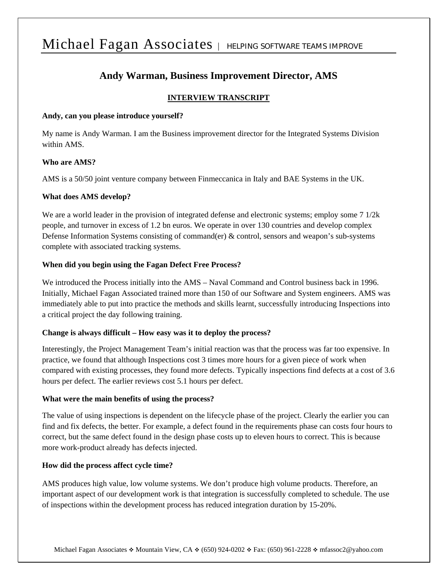# Michael Fagan Associates | HELPING SOFTWARE TEAMS IMPROVE

## **Andy Warman, Business Improvement Director, AMS**

### **INTERVIEW TRANSCRIPT**

#### **Andy, can you please introduce yourself?**

My name is Andy Warman. I am the Business improvement director for the Integrated Systems Division within AMS.

### **Who are AMS?**

AMS is a 50/50 joint venture company between Finmeccanica in Italy and BAE Systems in the UK.

#### **What does AMS develop?**

We are a world leader in the provision of integrated defense and electronic systems; employ some 7  $1/2k$ people, and turnover in excess of 1.2 bn euros. We operate in over 130 countries and develop complex Defense Information Systems consisting of command(er) & control, sensors and weapon's sub-systems complete with associated tracking systems.

#### **When did you begin using the Fagan Defect Free Process?**

We introduced the Process initially into the AMS – Naval Command and Control business back in 1996. Initially, Michael Fagan Associated trained more than 150 of our Software and System engineers. AMS was immediately able to put into practice the methods and skills learnt, successfully introducing Inspections into a critical project the day following training.

#### **Change is always difficult – How easy was it to deploy the process?**

Interestingly, the Project Management Team's initial reaction was that the process was far too expensive. In practice, we found that although Inspections cost 3 times more hours for a given piece of work when compared with existing processes, they found more defects. Typically inspections find defects at a cost of 3.6 hours per defect. The earlier reviews cost 5.1 hours per defect.

#### **What were the main benefits of using the process?**

The value of using inspections is dependent on the lifecycle phase of the project. Clearly the earlier you can find and fix defects, the better. For example, a defect found in the requirements phase can costs four hours to correct, but the same defect found in the design phase costs up to eleven hours to correct. This is because more work-product already has defects injected.

#### **How did the process affect cycle time?**

AMS produces high value, low volume systems. We don't produce high volume products. Therefore, an important aspect of our development work is that integration is successfully completed to schedule. The use of inspections within the development process has reduced integration duration by 15-20%.